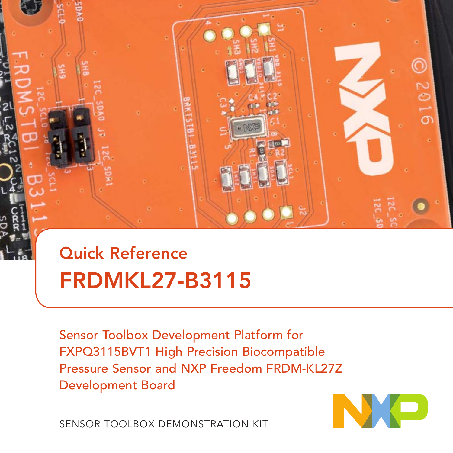

# Quick Reference FRDMKL27-B3115

Sensor Toolbox Development Platform for FXPQ3115BVT1 High Precision Biocompatible Pressure Sensor and NXP Freedom FRDM-KL27Z Development Board

NO

SENSOR TOOLBOX DEMONSTRATION KIT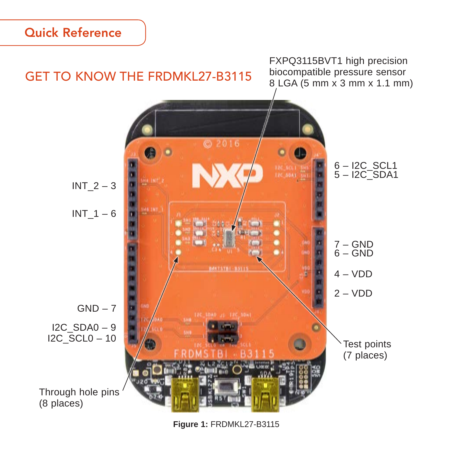### Quick Reference



**Figure 1:** FRDMKL27-B3115